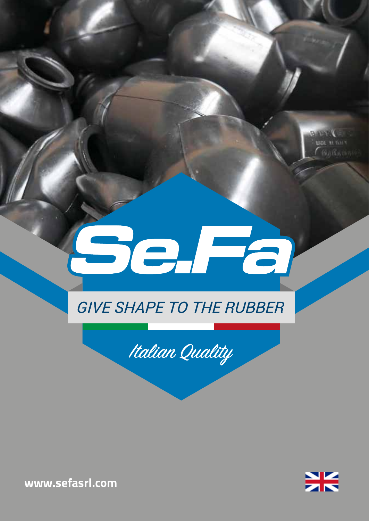# elfa

### **GIVE SHAPE TO THE RUBBER**





**BABBI UNE HIGHT**  $f$  William

**www.sefasrl.com**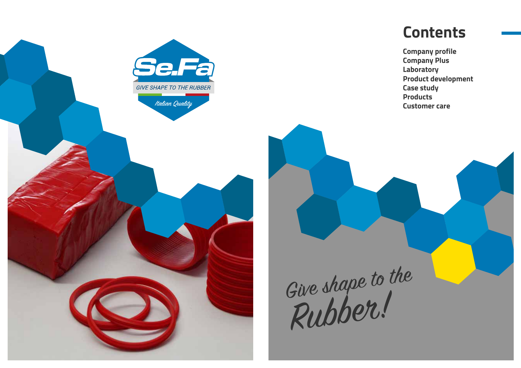

# **Contents**

**Company profile Company Plus Laboratory Product development Case study Products Customer care**

Give shape to the Rubber!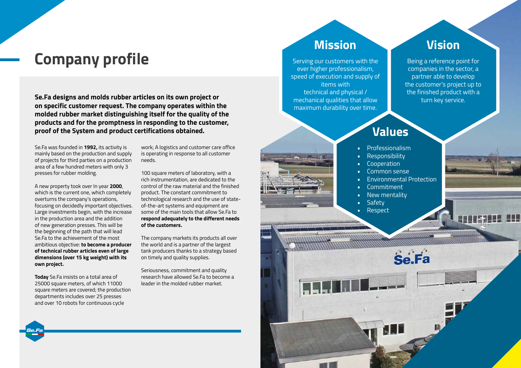# **Company profile**

**Se.Fa designs and molds rubber articles on its own project or on specific customer request. The company operates within the molded rubber market distinguishing itself for the quality of the products and for the promptness in responding to the customer, proof of the System and product certifications obtained.** 

Se.Fa was founded in **1992,** its activity is mainly based on the production and supply of projects for third parties on a production area of a few hundred meters with only 3 presses for rubber molding.

A new property took over In year **2000**, which is the current one, which completely overturns the company's operations, focusing on decidedly important objectives. Large investments begin, with the increase in the production area and the addition of new generation presses. This will be the beginning of the path that will lead Se.Fa to the achievement of the most ambitious objective: **to become a producer of technical rubber articles even of large dimensions (over 15 kg weight) with its own project.**

**Today** Se.Fa insists on a total area of 25000 square meters, of which 11000 square meters are covered; the production departments includes over 25 presses and over 10 robots for continuous cycle

**Se.Fa**

work; A logistics and customer care office is operating in response to all customer needs.

100 square meters of laboratory, with a rich instrumentation, are dedicated to the control of the raw material and the finished product. The constant commitment to technological research and the use of stateof-the-art systems and equipment are some of the main tools that allow Se.Fa to **respond adequately to the different needs of the customers.**

The company markets its products all over the world and is a partner of the largest tank producers thanks to a strategy based on timely and quality supplies.

Seriousness, commitment and quality research have allowed Se.Fa to become a leader in the molded rubber market.

## **Mission**

Serving our customers with the ever higher professionalism, speed of execution and supply of items with technical and physical / mechanical qualities that allow maximum durability over time.

<u>munitymmum</u>

#### **Vision**

Being a reference point for companies in the sector, a partner able to develop the customer's project up to the finished product with a turn key service.

### **Values**

- **Professionalism**
- Responsibility
- **Cooperation**
- Common sense
- Environmental Protection

**Se Fa** 

- Commitment
- **New mentality**
- Safety
- Respect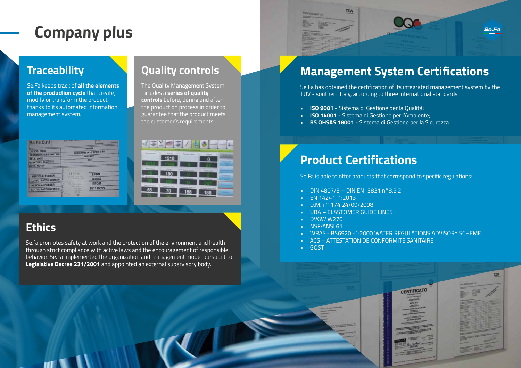# **Company plus**

#### **Traceability**

Se.Fa keeps track of **all the elements of the production cycle** that create, modify or transform the product, thanks to its automated information management system.

| Se Fa S.r.l                                                                                                   | <b><i>CONTRACTOR WAS VALUED TO</i></b>                                                                                                                        |                                                   | <b>TERCHI</b> |
|---------------------------------------------------------------------------------------------------------------|---------------------------------------------------------------------------------------------------------------------------------------------------------------|---------------------------------------------------|---------------|
| <b>COUCE / CODE</b><br>DESCRITCHE   DESCRIPTION<br><b>DATA / DATE</b><br>QUANTITA' / QUANTITY<br>NOTE / NOTES | <b>VOASCER</b><br>MEMBRANE 24 LT EPOM D ED<br>04/05/2019<br>755                                                                                               |                                                   |               |
| <b>NESCOLA/ RUBBER</b><br><b>LOTTO / BATCH NUMBER</b><br><b>MESCOLA/RUBBER</b><br>LOTTO / BATCH NUMBER        | <b>SEFE ME</b><br><b>STATTAINER</b><br><b>ALIFERNITERS</b><br><br><br><b>SALA ITAR</b><br><b>MALINHOUS</b><br>314, 65g<br><b>FROMA</b><br>345,779<br>752<br>n | <b>EPDM</b><br>120057<br><b>EPDM</b><br>281118099 |               |

#### **Quality controls**

The Quality Management System includes a **series of quality controls** before, during and after the production process in order to guarantee that the product meets the customer's requirements.



### **Ethics**

Se.fa promotes safety at work and the protection of the environment and health through strict compliance with active laws and the encouragement of responsible behavior. Se.Fa implemented the organization and management model pursuant to **Legislative Decree 231/2001** and appointed an external supervisory body.



# **Management System Certifications**

Se.Fa has obtained the certification of its integrated management system by the TUV - southern Italy, according to three international standards:

- **• ISO 9001** Sistema di Gestione per la Qualità;
- **• ISO 14001** Sistema di Gestione per l'Ambiente;
- **• BS OHSAS 18001** Sistema di Gestione per la Sicurezza.

# **Product Certifications**

Se.Fa is able to offer products that correspond to specific regulations:

- DIN 4807/3 DIN EN13831 n°8.5.2
- EN 14241-1:2013
- D.M. n° 174 24/09/2008
- UBA ELASTOMER GUIDE LINES
- DVGW W270
- NSF/ANSI 61
- WRAS BS6920 -1:2000 WATER REGULATIONS ADVISORY SCHEME
- ACS ATTESTATION DE CONFORMITE SANITAIRE
- GOST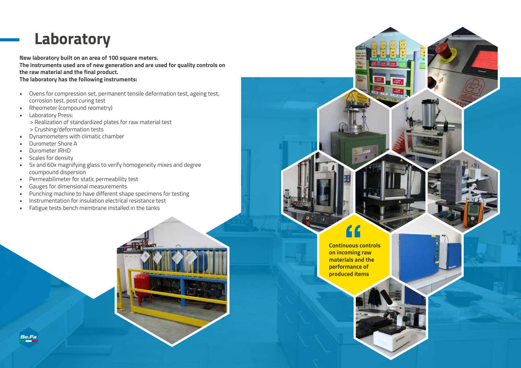# **Laboratory**

**New laboratory built on an area of 100 square meters. The instruments used are of new generation and are used for quality controls on the raw material and the final product.** 

**The laboratory has the following instruments:**

- Ovens for compression set, permanent tensile deformation test, ageing test, corrosion test, post curing test
- Rheometer (compound reometry)
- **·** Laboratory Press: > Realization of standardized plates for raw material test > Crushing/deformation tests
- Dynamometers with climatic chamber
- Durometer Shore A
- Durometer IRHD
- Scales for density
- 5x and 60x magnifying glass to verify homogeneity mixes and degree coumpound dispersion
- Permeabilimeter for static permeability test
- Gauges for dimensional measurements
- Punching machine to have different shape specimens for testing
- Instrumentation for insulation electrical resistance test
- Fatigue tests bench membrane installed in the tanks



**Continuous controls on incoming raw materials and the performance of produced items f**<br>**The Contract of Section**<br> **Contract Contract**<br> **Contract Contract**<br> **Contract Contract Contract**<br> **Contract Contract Contract**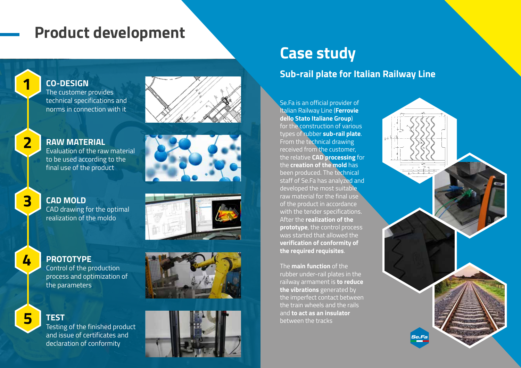# **Product development**





# **RAW MATERIAL**

The customer provides technical specifications and norms in connection with it

**CO-DESIGN**

Evaluation of the raw material to be used according to the final use of the product





#### **CAD MOLD** CAD drawing for the optimal realization of the moldo

4

#### **PROTOTYPE**

Control of the production process and optimization of the parameters



# **TEST**

Testing of the finished product and issue of certificates and declaration of conformity

# **Case study**

#### **Sub-rail plate for Italian Railway Line**

Se.Fa is an official provider of Italian Railway Line (**Ferrovie dello Stato Italiane Group**) for the construction of various types of rubber **sub-rail plate** . From the technical drawing received from the customer, the relative **CAD processing** for the **creation of the mold** has been produced. The technical staff of Se.Fa has analyzed and developed the most suitable raw material for the final use of the product in accordance with the tender specifications. After the **realization of the prototype**, the control process was started that allowed the **verification of conformity of the required requisites** .

The **main function** of the rubber under-rail plates in the railway armament is **to reduce the vibrations** generated by the imperfect contact between the train wheels and the rails and **to act as an insulator** between the tracks

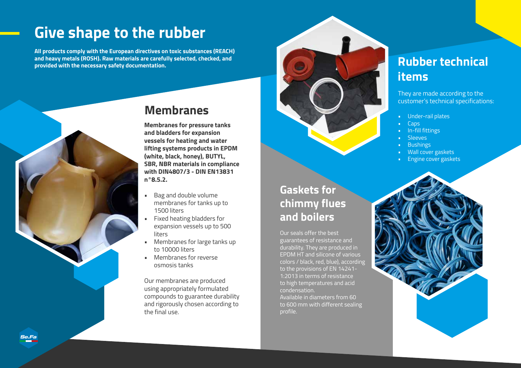# **Give shape to the rubber**

**All products comply with the European directives on toxic substances (REACH) and heavy metals (ROSH). Raw materials are carefully selected, checked, and provided with the necessary safety documentation.**



## **Membranes**

**Membranes for pressure tanks and bladders for expansion vessels for heating and water lifting systems products in EPDM (white, black, honey), BUTYL, SBR, NBR materials in compliance with DIN4807/3 - DIN EN13831 n°8.5.2.**

- Bag and double volume membranes for tanks up to 1500 liters
- Fixed heating bladders for expansion vessels up to 500 liters
- Membranes for large tanks up to 10000 liters
- Membranes for reverse osmosis tanks

Our membranes are produced using appropriately formulated compounds to guarantee durability and rigorously chosen according to the final use.



**Gaskets for** 

**and boilers**

Our seals offer the best guarantees of resistance and durability. They are produced in EPDM HT and silicone of various colors / black, red, blue), according to the provisions of EN 14241- 1:2013 in terms of resistance to high temperatures and acid

Available in diameters from 60 to 600 mm with different sealing

condensation.

profile.

**chimmy flues** 

# **Rubber technical items**

They are made according to the customer's technical specifications:

- Under-rail plates
- Caps
- In-fill fittings
- Sleeves
- Bushings
- Wall cover gaskets
- Engine cover gaskets